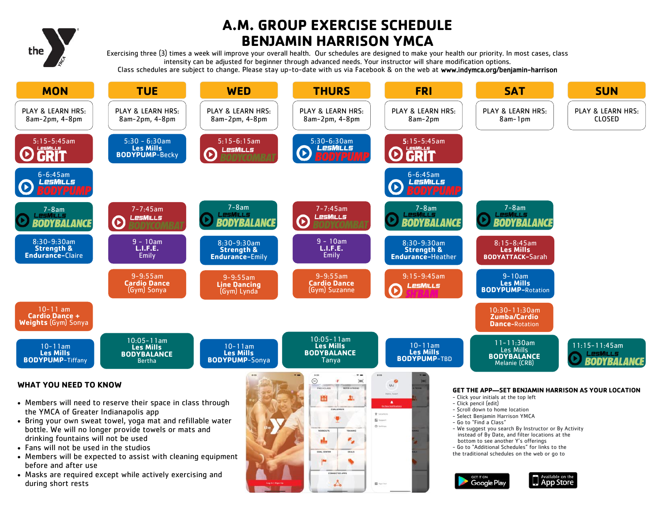

# **A.M. GROUP EXERCISE SCHEDULE BENJAMIN HARRISON YMCA**

Exercising three (3) times a week will improve your overall health. Our schedules are designed to make your health our priority. In most cases, class intensity can be adjusted for beginner through advanced needs. Your instructor will share modification options. Class schedules are subject to change. Please stay up-to-date with us via Facebook & on the web at www.indymca.org/benjamin-harrison



 $\mathbf{E}$  inge the

Available on the

**App Store** 

**GET IT ON** 

**Google Play** 

 Masks are required except while actively exercising and during short rests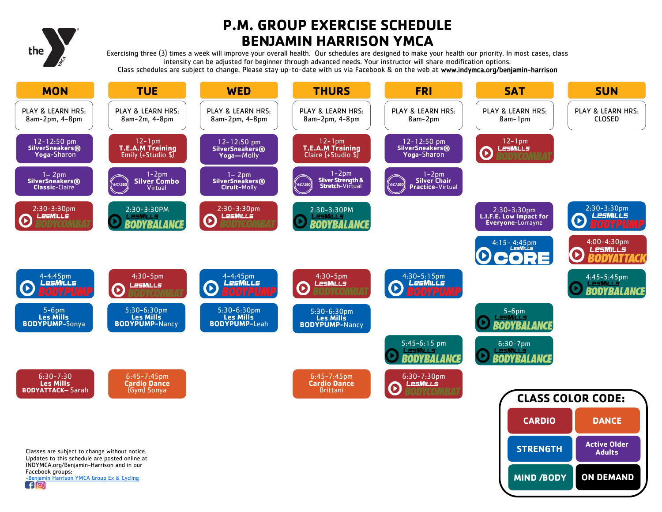

# **P.M. GROUP EXERCISE SCHEDULE BENJAMIN HARRISON YMCA**

Exercising three (3) times a week will improve your overall health. Our schedules are designed to make your health our priority. In most cases, class intensity can be adjusted for beginner through advanced needs. Your instructor will share modification options. Class schedules are subject to change. Please stay up-to-date with us via Facebook & on the web at www.indymca.org/benjamin-harrison

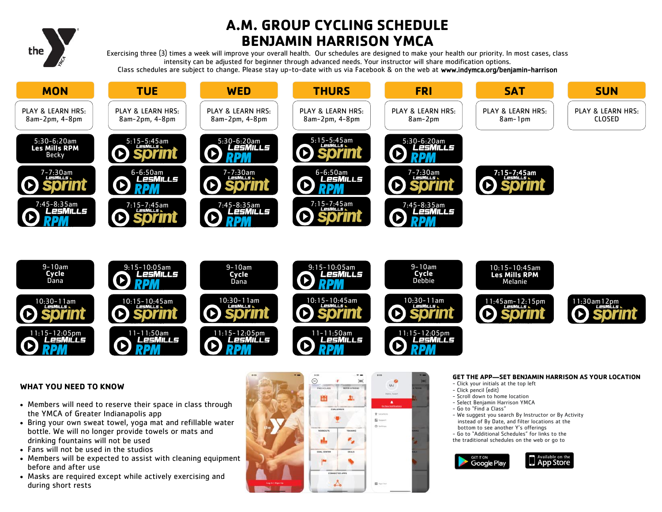

# **A.M. GROUP CYCLING SCHEDULE BENJAMIN HARRISON YMCA**

Exercising three (3) times a week will improve your overall health. Our schedules are designed to make your health our priority. In most cases, class intensity can be adjusted for beginner through advanced needs. Your instructor will share modification options. Class schedules are subject to change. Please stay up-to-date with us via Facebook & on the web at www.indymca.org/benjamin-harrison





### **WHAT YOU NEED TO KNOW**

- Members will need to reserve their space in class through the YMCA of Greater Indianapolis app
- Bring your own sweat towel, yoga mat and refillable water bottle. We will no longer provide towels or mats and drinking fountains will not be used
- Fans will not be used in the studios
- Members will be expected to assist with cleaning equipment before and after use
- Masks are required except while actively exercising and during short rests



#### **GET THE APP—SET BENJAMIN HARRISON AS YOUR LOCATION**

- Click your initials at the top left
- Click pencil (edit)
- Scroll down to home location
- Select Benjamin Harrison YMCA
- Go to "Find a Class"
- We suggest you search By Instructor or By Activity instead of By Date, and filter locations at the bottom to see another Y's offerings
- Go to "Additional Schedules" for links to the
- the traditional schedules on the web or go to